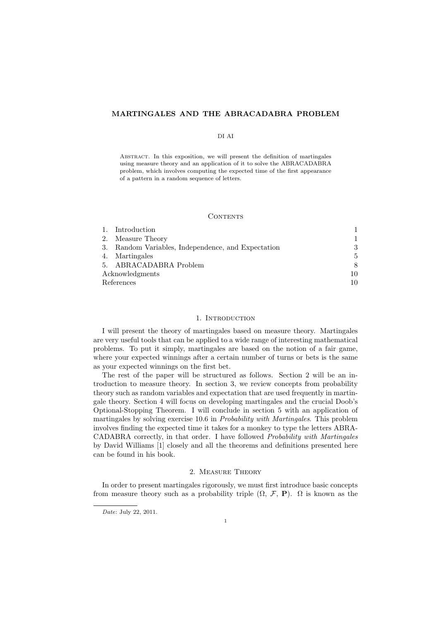# MARTINGALES AND THE ABRACADABRA PROBLEM

#### DI AI

Abstract. In this exposition, we will present the definition of martingales using measure theory and an application of it to solve the ABRACADABRA problem, which involves computing the expected time of the first appearance of a pattern in a random sequence of letters.

#### CONTENTS

|                 | Introduction                                    |     |
|-----------------|-------------------------------------------------|-----|
| 2.              | Measure Theory                                  | 1.  |
| 3.              | Random Variables, Independence, and Expectation | 3   |
| 4.              | Martingales                                     | 5   |
| 5 <sub>1</sub>  | ABRACADABRA Problem                             | 8   |
| Acknowledgments |                                                 | 10  |
| References      |                                                 | 10. |

# 1. INTRODUCTION

I will present the theory of martingales based on measure theory. Martingales are very useful tools that can be applied to a wide range of interesting mathematical problems. To put it simply, martingales are based on the notion of a fair game, where your expected winnings after a certain number of turns or bets is the same as your expected winnings on the first bet.

The rest of the paper will be structured as follows. Section 2 will be an introduction to measure theory. In section 3, we review concepts from probability theory such as random variables and expectation that are used frequently in martingale theory. Section 4 will focus on developing martingales and the crucial Doob's Optional-Stopping Theorem. I will conclude in section 5 with an application of martingales by solving exercise 10.6 in *Probability with Martingales*. This problem involves finding the expected time it takes for a monkey to type the letters ABRA-CADABRA correctly, in that order. I have followed Probability with Martingales by David Williams [1] closely and all the theorems and definitions presented here can be found in his book.

# 2. Measure Theory

In order to present martingales rigorously, we must first introduce basic concepts from measure theory such as a probability triple  $(\Omega, \mathcal{F}, P)$ .  $\Omega$  is known as the

Date: July 22, 2011.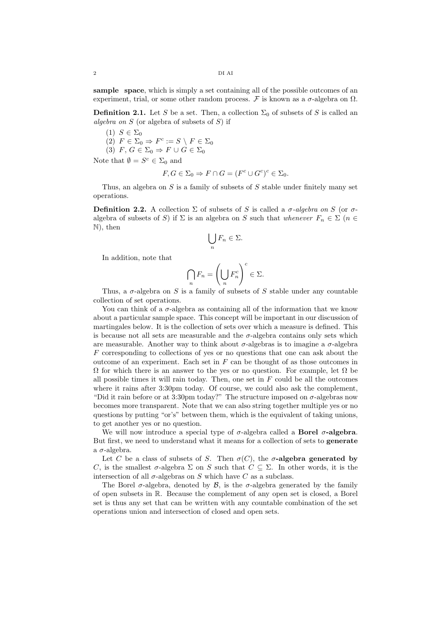sample space, which is simply a set containing all of the possible outcomes of an experiment, trial, or some other random process. F is known as a  $\sigma$ -algebra on  $\Omega$ .

**Definition 2.1.** Let S be a set. Then, a collection  $\Sigma_0$  of subsets of S is called an algebra on  $S$  (or algebra of subsets of  $S$ ) if

- (1)  $S \in \Sigma_0$
- (2)  $F \in \Sigma_0 \Rightarrow F^c := S \setminus F \in \Sigma_0$
- (3) F,  $G \in \Sigma_0 \Rightarrow F \cup G \in \Sigma_0$

Note that  $\emptyset = S^c \in \Sigma_0$  and

$$
F, G \in \Sigma_0 \Rightarrow F \cap G = (F^c \cup G^c)^c \in \Sigma_0.
$$

Thus, an algebra on  $S$  is a family of subsets of  $S$  stable under finitely many set operations.

**Definition 2.2.** A collection  $\Sigma$  of subsets of S is called a  $\sigma$ -algebra on S (or  $\sigma$ algebra of subsets of S) if  $\Sigma$  is an algebra on S such that whenever  $F_n \in \Sigma$  ( $n \in$ N), then

$$
\bigcup_n F_n \in \Sigma.
$$

In addition, note that

$$
\bigcap_n F_n = \left(\bigcup_n F_n^c\right)^c \in \Sigma.
$$

Thus, a  $\sigma$ -algebra on S is a family of subsets of S stable under any countable collection of set operations.

You can think of a  $\sigma$ -algebra as containing all of the information that we know about a particular sample space. This concept will be important in our discussion of martingales below. It is the collection of sets over which a measure is defined. This is because not all sets are measurable and the  $\sigma$ -algebra contains only sets which are measurable. Another way to think about  $\sigma$ -algebras is to imagine a  $\sigma$ -algebra F corresponding to collections of yes or no questions that one can ask about the outcome of an experiment. Each set in  $F$  can be thought of as those outcomes in  $Ω$  for which there is an answer to the yes or no question. For example, let  $Ω$  be all possible times it will rain today. Then, one set in  $F$  could be all the outcomes where it rains after 3:30pm today. Of course, we could also ask the complement, "Did it rain before or at 3:30pm today?" The structure imposed on  $\sigma$ -algebras now becomes more transparent. Note that we can also string together multiple yes or no questions by putting "or's" between them, which is the equivalent of taking unions, to get another yes or no question.

We will now introduce a special type of  $\sigma$ -algebra called a **Borel**  $\sigma$ **-algebra.** But first, we need to understand what it means for a collection of sets to generate a  $\sigma$ -algebra.

Let C be a class of subsets of S. Then  $\sigma(C)$ , the  $\sigma$ -algebra generated by C, is the smallest  $\sigma$ -algebra  $\Sigma$  on S such that  $C \subseteq \Sigma$ . In other words, it is the intersection of all  $\sigma$ -algebras on S which have C as a subclass.

The Borel  $\sigma$ -algebra, denoted by  $\beta$ , is the  $\sigma$ -algebra generated by the family of open subsets in R. Because the complement of any open set is closed, a Borel set is thus any set that can be written with any countable combination of the set operations union and intersection of closed and open sets.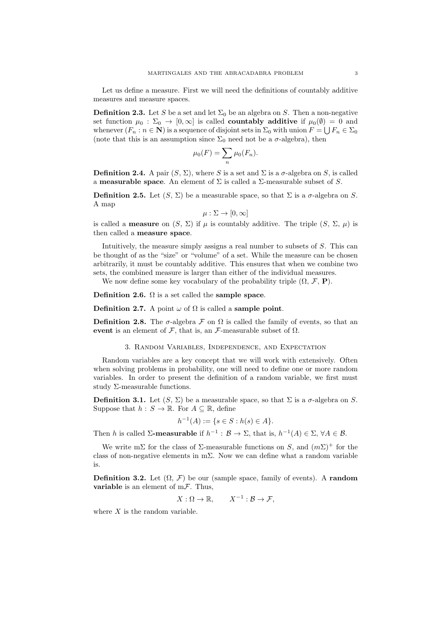Let us define a measure. First we will need the definitions of countably additive measures and measure spaces.

**Definition 2.3.** Let S be a set and let  $\Sigma_0$  be an algebra on S. Then a non-negative set function  $\mu_0 : \Sigma_0 \to [0, \infty]$  is called **countably additive** if  $\mu_0(\emptyset) = 0$  and whenever  $(F_n : n \in \mathbb{N})$  is a sequence of disjoint sets in  $\Sigma_0$  with union  $F = \bigcup F_n \in \Sigma_0$ (note that this is an assumption since  $\Sigma_0$  need not be a  $\sigma$ -algebra), then

$$
\mu_0(F) = \sum_n \mu_0(F_n).
$$

**Definition 2.4.** A pair  $(S, \Sigma)$ , where S is a set and  $\Sigma$  is a  $\sigma$ -algebra on S, is called a **measurable space**. An element of  $\Sigma$  is called a  $\Sigma$ -measurable subset of S.

**Definition 2.5.** Let  $(S, \Sigma)$  be a measurable space, so that  $\Sigma$  is a  $\sigma$ -algebra on S. A map

$$
\mu : \Sigma \to [0, \infty]
$$

is called a **measure** on  $(S, \Sigma)$  if  $\mu$  is countably additive. The triple  $(S, \Sigma, \mu)$  is then called a measure space.

Intuitively, the measure simply assigns a real number to subsets of S. This can be thought of as the "size" or "volume" of a set. While the measure can be chosen arbitrarily, it must be countably additive. This ensures that when we combine two sets, the combined measure is larger than either of the individual measures.

We now define some key vocabulary of the probability triple  $(\Omega, \mathcal{F}, P)$ .

Definition 2.6.  $\Omega$  is a set called the sample space.

**Definition 2.7.** A point  $\omega$  of  $\Omega$  is called a **sample point**.

**Definition 2.8.** The  $\sigma$ -algebra F on  $\Omega$  is called the family of events, so that an event is an element of  $\mathcal F$ , that is, an  $\mathcal F$ -measurable subset of  $\Omega$ .

#### 3. Random Variables, Independence, and Expectation

Random variables are a key concept that we will work with extensively. Often when solving problems in probability, one will need to define one or more random variables. In order to present the definition of a random variable, we first must study Σ-measurable functions.

**Definition 3.1.** Let  $(S, \Sigma)$  be a measurable space, so that  $\Sigma$  is a  $\sigma$ -algebra on S. Suppose that  $h: S \to \mathbb{R}$ . For  $A \subseteq \mathbb{R}$ , define

$$
h^{-1}(A) := \{ s \in S : h(s) \in A \}.
$$

Then h is called  $\Sigma$ -measurable if  $h^{-1} : \mathcal{B} \to \Sigma$ , that is,  $h^{-1}(A) \in \Sigma$ ,  $\forall A \in \mathcal{B}$ .

We write mΣ for the class of  $\Sigma$ -measurable functions on S, and  $(m\Sigma)^+$  for the class of non-negative elements in mΣ. Now we can define what a random variable is.

**Definition 3.2.** Let  $(\Omega, \mathcal{F})$  be our (sample space, family of events). A **random variable** is an element of  $m\mathcal{F}$ . Thus,

$$
X:\Omega\to\mathbb{R},\qquad X^{-1}:\mathcal{B}\to\mathcal{F},
$$

where  $X$  is the random variable.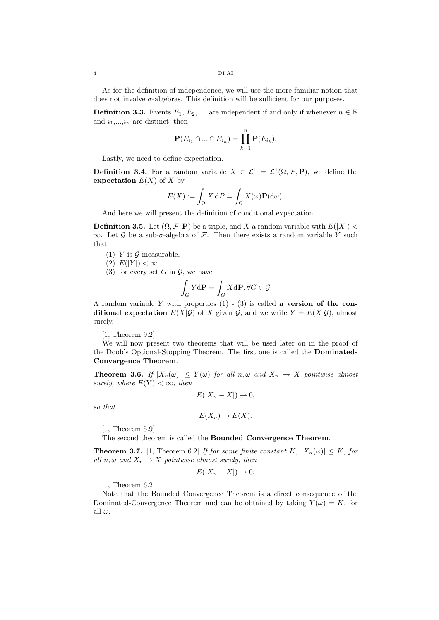As for the definition of independence, we will use the more familiar notion that does not involve  $\sigma$ -algebras. This definition will be sufficient for our purposes.

**Definition 3.3.** Events  $E_1, E_2, ...$  are independent if and only if whenever  $n \in \mathbb{N}$ and  $i_1,...,i_n$  are distinct, then

$$
\mathbf{P}(E_{i_1} \cap \ldots \cap E_{i_n}) = \prod_{k=1}^n \mathbf{P}(E_{i_k}).
$$

Lastly, we need to define expectation.

**Definition 3.4.** For a random variable  $X \in \mathcal{L}^1 = \mathcal{L}^1(\Omega, \mathcal{F}, \mathbf{P})$ , we define the expectation  $E(X)$  of X by

$$
E(X) := \int_{\Omega} X dP = \int_{\Omega} X(\omega) \mathbf{P}(\mathrm{d}\omega).
$$

And here we will present the definition of conditional expectation.

**Definition 3.5.** Let  $(\Omega, \mathcal{F}, P)$  be a triple, and X a random variable with  $E(|X|)$  $\infty$ . Let G be a sub- $\sigma$ -algebra of F. Then there exists a random variable Y such that

(1) Y is  $\mathcal G$  measurable,

(2)  $E(|Y|) < \infty$ 

(3) for every set G in  $\mathcal{G}$ , we have

$$
\int_G Y \mathrm{d}\mathbf{P} = \int_G X \mathrm{d}\mathbf{P}, \forall G \in \mathcal{G}
$$

A random variable Y with properties  $(1)$  -  $(3)$  is called a version of the conditional expectation  $E(X|\mathcal{G})$  of X given  $\mathcal{G}$ , and we write  $Y = E(X|\mathcal{G})$ , almost surely.

[1, Theorem 9.2]

We will now present two theorems that will be used later on in the proof of the Doob's Optional-Stopping Theorem. The first one is called the Dominated-Convergence Theorem.

**Theorem 3.6.** If  $|X_n(\omega)| \leq Y(\omega)$  for all  $n, \omega$  and  $X_n \to X$  pointwise almost surely, where  $E(Y) < \infty$ , then

$$
E(|X_n - X|) \to 0,
$$

so that

$$
E(X_n) \to E(X).
$$

[1, Theorem 5.9]

The second theorem is called the Bounded Convergence Theorem.

**Theorem 3.7.** [1, Theorem 6.2] If for some finite constant K,  $|X_n(\omega)| \leq K$ , for all  $n, \omega$  and  $X_n \to X$  pointwise almost surely, then

$$
E(|X_n - X|) \to 0.
$$

[1, Theorem 6.2]

Note that the Bounded Convergence Theorem is a direct consequence of the Dominated-Convergence Theorem and can be obtained by taking  $Y(\omega) = K$ , for all  $\omega$ .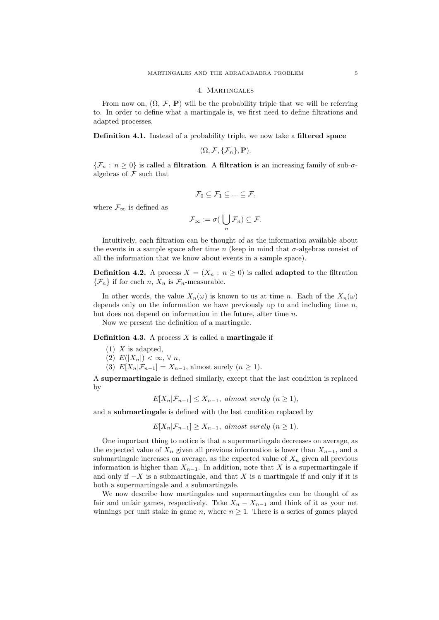#### 4. Martingales

From now on,  $(\Omega, \mathcal{F}, P)$  will be the probability triple that we will be referring to. In order to define what a martingale is, we first need to define filtrations and adapted processes.

Definition 4.1. Instead of a probability triple, we now take a filtered space

$$
(\Omega,\mathcal{F},\{\mathcal{F}_n\},\mathbf{P}).
$$

 ${\mathcal{F}_n : n \geq 0}$  is called a **filtration**. A **filtration** is an increasing family of sub- $\sigma$ algebras of  $\mathcal F$  such that

$$
\mathcal{F}_0\subseteq \mathcal{F}_1\subseteq\ldots\subseteq \mathcal{F},
$$

where  $\mathcal{F}_{\infty}$  is defined as

$$
\mathcal{F}_{\infty} := \sigma\big(\bigcup_n \mathcal{F}_n\big) \subseteq \mathcal{F}.
$$

Intuitively, each filtration can be thought of as the information available about the events in a sample space after time n (keep in mind that  $\sigma$ -algebras consist of all the information that we know about events in a sample space).

**Definition 4.2.** A process  $X = (X_n : n \ge 0)$  is called **adapted** to the filtration  $\{\mathcal{F}_n\}$  if for each n,  $X_n$  is  $\mathcal{F}_n$ -measurable.

In other words, the value  $X_n(\omega)$  is known to us at time n. Each of the  $X_n(\omega)$ depends only on the information we have previously up to and including time  $n$ , but does not depend on information in the future, after time n.

Now we present the definition of a martingale.

**Definition 4.3.** A process  $X$  is called a **martingale** if

- $(1)$  X is adapted,
- (2)  $E(|X_n|) < \infty, \forall n$ ,
- (3)  $E[X_n|\mathcal{F}_{n-1}] = X_{n-1}$ , almost surely  $(n \geq 1)$ .

A supermartingale is defined similarly, except that the last condition is replaced by

$$
E[X_n|\mathcal{F}_{n-1}] \le X_{n-1}, \text{ almost surely } (n \ge 1),
$$

and a submartingale is defined with the last condition replaced by

$$
E[X_n|\mathcal{F}_{n-1}] \ge X_{n-1}, \text{ almost surely } (n \ge 1).
$$

One important thing to notice is that a supermartingale decreases on average, as the expected value of  $X_n$  given all previous information is lower than  $X_{n-1}$ , and a submartingale increases on average, as the expected value of  $X_n$  given all previous information is higher than  $X_{n-1}$ . In addition, note that X is a supermartingale if and only if  $-X$  is a submartingale, and that X is a martingale if and only if it is both a supermartingale and a submartingale.

We now describe how martingales and supermartingales can be thought of as fair and unfair games, respectively. Take  $X_n - X_{n-1}$  and think of it as your net winnings per unit stake in game n, where  $n \geq 1$ . There is a series of games played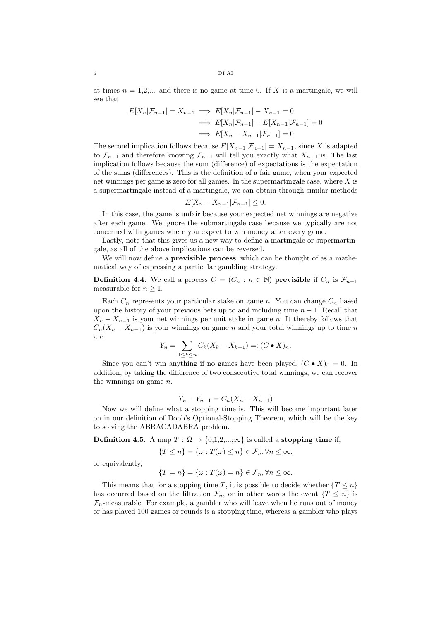at times  $n = 1,2,...$  and there is no game at time 0. If X is a martingale, we will see that

$$
E[X_n|\mathcal{F}_{n-1}] = X_{n-1} \implies E[X_n|\mathcal{F}_{n-1}] - X_{n-1} = 0
$$
  

$$
\implies E[X_n|\mathcal{F}_{n-1}] - E[X_{n-1}|\mathcal{F}_{n-1}] = 0
$$
  

$$
\implies E[X_n - X_{n-1}|\mathcal{F}_{n-1}] = 0
$$

The second implication follows because  $E[X_{n-1}|\mathcal{F}_{n-1}] = X_{n-1}$ , since X is adapted to  $\mathcal{F}_{n-1}$  and therefore knowing  $\mathcal{F}_{n-1}$  will tell you exactly what  $X_{n-1}$  is. The last implication follows because the sum (difference) of expectations is the expectation of the sums (differences). This is the definition of a fair game, when your expected net winnings per game is zero for all games. In the supermartingale case, where  $X$  is a supermartingale instead of a martingale, we can obtain through similar methods

$$
E[X_n - X_{n-1} | \mathcal{F}_{n-1}] \leq 0.
$$

In this case, the game is unfair because your expected net winnings are negative after each game. We ignore the submartingale case because we typically are not concerned with games where you expect to win money after every game.

Lastly, note that this gives us a new way to define a martingale or supermartingale, as all of the above implications can be reversed.

We will now define a **previsible process**, which can be thought of as a mathematical way of expressing a particular gambling strategy.

**Definition 4.4.** We call a process  $C = (C_n : n \in \mathbb{N})$  previsible if  $C_n$  is  $\mathcal{F}_{n-1}$ measurable for  $n \geq 1$ .

Each  $C_n$  represents your particular stake on game n. You can change  $C_n$  based upon the history of your previous bets up to and including time  $n - 1$ . Recall that  $X_n - X_{n-1}$  is your net winnings per unit stake in game n. It thereby follows that  $C_n(X_n - X_{n-1})$  is your winnings on game n and your total winnings up to time n are

$$
Y_n = \sum_{1 \leq k \leq n} C_k (X_k - X_{k-1}) =: (C \bullet X)_n.
$$

Since you can't win anything if no games have been played,  $(C \bullet X)_0 = 0$ . In addition, by taking the difference of two consecutive total winnings, we can recover the winnings on game  $n$ .

$$
Y_n - Y_{n-1} = C_n(X_n - X_{n-1})
$$

Now we will define what a stopping time is. This will become important later on in our definition of Doob's Optional-Stopping Theorem, which will be the key to solving the ABRACADABRA problem.

Definition 4.5. A map  $T : \Omega \to \{0,1,2,\ldots,\infty\}$  is called a stopping time if,

 ${T \leq n} = {\omega : T(\omega) \leq n} \in \mathcal{F}_n, \forall n \leq \infty,$ 

or equivalently,

$$
\{T = n\} = \{\omega : T(\omega) = n\} \in \mathcal{F}_n, \forall n \leq \infty.
$$

This means that for a stopping time T, it is possible to decide whether  ${T \leq n}$ has occurred based on the filtration  $\mathcal{F}_n$ , or in other words the event  $\{T \leq n\}$  is  $\mathcal{F}_n$ -measurable. For example, a gambler who will leave when he runs out of money or has played 100 games or rounds is a stopping time, whereas a gambler who plays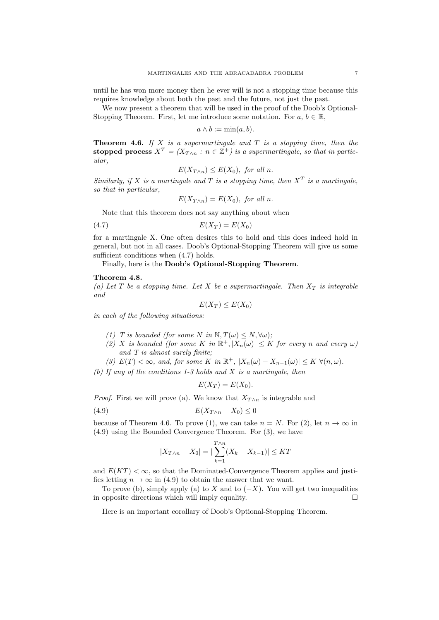until he has won more money then he ever will is not a stopping time because this requires knowledge about both the past and the future, not just the past.

We now present a theorem that will be used in the proof of the Doob's Optional-Stopping Theorem. First, let me introduce some notation. For  $a, b \in \mathbb{R}$ ,

$$
a \wedge b := \min(a, b).
$$

**Theorem 4.6.** If  $X$  is a supermartingale and  $T$  is a stopping time, then the stopped process  $X^T = (X_{T \wedge n} : n \in \mathbb{Z}^+)$  is a supermartingale, so that in particular,

$$
E(X_{T\wedge n}) \le E(X_0), \text{ for all } n.
$$

Similarly, if X is a martingale and T is a stopping time, then  $X^T$  is a martingale, so that in particular,

$$
E(X_{T\wedge n}) = E(X_0), \text{ for all } n.
$$

Note that this theorem does not say anything about when

$$
(4.7) \t\t\t\t E(X_T) = E(X_0)
$$

for a martingale X. One often desires this to hold and this does indeed hold in general, but not in all cases. Doob's Optional-Stopping Theorem will give us some sufficient conditions when  $(4.7)$  holds.

Finally, here is the Doob's Optional-Stopping Theorem.

# Theorem 4.8.

(a) Let T be a stopping time. Let X be a supermartingale. Then  $X_T$  is integrable and

$$
E(X_T) \le E(X_0)
$$

in each of the following situations:

- (1) T is bounded (for some N in  $\mathbb{N}, T(\omega) \leq N, \forall \omega$ );
- (2) X is bounded (for some K in  $\mathbb{R}^+, |X_n(\omega)| \leq K$  for every n and every  $\omega$ ) and T is almost surely finite;
- (3)  $E(T) < \infty$ , and, for some K in  $\mathbb{R}^+$ ,  $|X_n(\omega) X_{n-1}(\omega)| \leq K \ \forall (n, \omega)$ .

(b) If any of the conditions 1-3 holds and  $X$  is a martingale, then

$$
E(X_T) = E(X_0).
$$

*Proof.* First we will prove (a). We know that  $X_{T\wedge n}$  is integrable and

$$
(4.9) \t\t\t\t E(X_{T \wedge n} - X_0) \le 0
$$

because of Theorem 4.6. To prove (1), we can take  $n = N$ . For (2), let  $n \to \infty$  in (4.9) using the Bounded Convergence Theorem. For (3), we have

$$
|X_{T \wedge n} - X_0| = |\sum_{k=1}^{T \wedge n} (X_k - X_{k-1})| \le KT
$$

and  $E(KT) < \infty$ , so that the Dominated-Convergence Theorem applies and justifies letting  $n \to \infty$  in (4.9) to obtain the answer that we want.

To prove (b), simply apply (a) to X and to  $(-X)$ . You will get two inequalities in opposite directions which will imply equality.  $\Box$ 

Here is an important corollary of Doob's Optional-Stopping Theorem.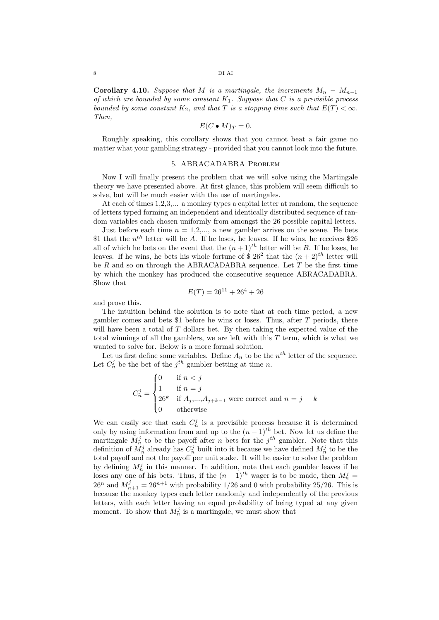Corollary 4.10. Suppose that M is a martingale, the increments  $M_n - M_{n-1}$ of which are bounded by some constant  $K_1$ . Suppose that C is a previsible process bounded by some constant  $K_2$ , and that T is a stopping time such that  $E(T) < \infty$ . Then,

$$
E(C \bullet M)_T = 0.
$$

Roughly speaking, this corollary shows that you cannot beat a fair game no matter what your gambling strategy - provided that you cannot look into the future.

#### 5. ABRACADABRA Problem

Now I will finally present the problem that we will solve using the Martingale theory we have presented above. At first glance, this problem will seem difficult to solve, but will be much easier with the use of martingales.

At each of times 1,2,3,... a monkey types a capital letter at random, the sequence of letters typed forming an independent and identically distributed sequence of random variables each chosen uniformly from amongst the 26 possible capital letters.

Just before each time  $n = 1, 2, \dots$ , a new gambler arrives on the scene. He bets \$1 that the  $n^{th}$  letter will be A. If he loses, he leaves. If he wins, he receives \$26 all of which he bets on the event that the  $(n+1)^{th}$  letter will be B. If he loses, he leaves. If he wins, he bets his whole fortune of \$ 26<sup>2</sup> that the  $(n+2)^{th}$  letter will be  $R$  and so on through the ABRACADABRA sequence. Let  $T$  be the first time by which the monkey has produced the consecutive sequence ABRACADABRA. Show that

$$
E(T) = 26^{11} + 26^4 + 26
$$

and prove this.

The intuition behind the solution is to note that at each time period, a new gambler comes and bets \$1 before he wins or loses. Thus, after T periods, there will have been a total of  $T$  dollars bet. By then taking the expected value of the total winnings of all the gamblers, we are left with this  $T$  term, which is what we wanted to solve for. Below is a more formal solution.

Let us first define some variables. Define  $A_n$  to be the  $n^{th}$  letter of the sequence. Let  $C_n^j$  be the bet of the  $j^{th}$  gambler betting at time n.

$$
C_n^j = \begin{cases} 0 & \text{if } n < j \\ 1 & \text{if } n = j \\ 26^k & \text{if } A_j, \dots, A_{j+k-1} \text{ were correct and } n = j + k \\ 0 & \text{otherwise} \end{cases}
$$

We can easily see that each  $C_n^j$  is a previsible process because it is determined only by using information from and up to the  $(n-1)$ <sup>th</sup> bet. Now let us define the martingale  $M_n^j$  to be the payoff after n bets for the  $j^{th}$  gambler. Note that this definition of  $M_n^j$  already has  $C_n^j$  built into it because we have defined  $M_n^j$  to be the total payoff and not the payoff per unit stake. It will be easier to solve the problem by defining  $M_n^j$  in this manner. In addition, note that each gambler leaves if he loses any one of his bets. Thus, if the  $(n+1)^{th}$  wager is to be made, then  $M_n^j =$  $26^n$  and  $M_{n+1}^j = 26^{n+1}$  with probability 1/26 and 0 with probability 25/26. This is because the monkey types each letter randomly and independently of the previous letters, with each letter having an equal probability of being typed at any given moment. To show that  $M_n^j$  is a martingale, we must show that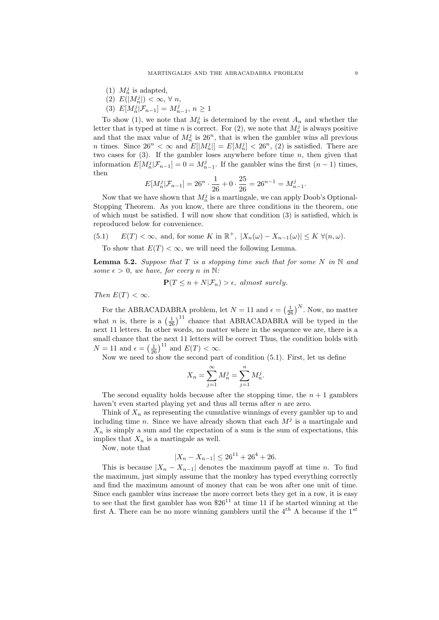- (1)  $M_n^j$  is adapted,
- (2)  $E(|M_n^j|) < \infty, \forall n$ ,
- (3)  $E[M_n^j | \mathcal{F}_{n-1}] = M_{n-1}^j, n \ge 1$

To show (1), we note that  $M_n^j$  is determined by the event  $A_n$  and whether the letter that is typed at time *n* is correct. For  $(2)$ , we note that  $M_n^j$  is always positive and that the max value of  $M_n^j$  is  $26^n$ , that is when the gambler wins all previous *n* times. Since  $26^n < \infty$  and  $E[|M_n^j|] = E[M_n^j] < 26^n$ , (2) is satisfied. There are two cases for  $(3)$ . If the gambler loses anywhere before time n, then given that information  $E[M_n^j | \mathcal{F}_{n-1}] = 0 = M_{n-1}^j$ . If the gambler wins the first  $(n-1)$  times, then

$$
E[M_n^j | \mathcal{F}_{n-1}] = 26^n \cdot \frac{1}{26} + 0 \cdot \frac{25}{26} = 26^{n-1} = M_{n-1}^j.
$$

Now that we have shown that  $M_n^j$  is a martingale, we can apply Doob's Optional-Stopping Theorem. As you know, there are three conditions in the theorem, one of which must be satisfied. I will now show that condition (3) is satisfied, which is reproduced below for convenience.

(5.1) 
$$
E(T) < \infty
$$
, and, for some K in  $\mathbb{R}^+$ ,  $|X_n(\omega) - X_{n-1}(\omega)| \le K \ \forall (n, \omega)$ .

To show that  $E(T) < \infty$ , we will need the following Lemma.

**Lemma 5.2.** Suppose that T is a stopping time such that for some N in N and some  $\epsilon > 0$ , we have, for every n in N:

$$
\mathbf{P}(T \le n + N|\mathcal{F}_n) > \epsilon, \text{ almost surely.}
$$

Then  $E(T) < \infty$ .

For the ABRACADABRA problem, let  $N = 11$  and  $\epsilon = \left(\frac{1}{26}\right)^N$ . Now, no matter what *n* is, there is a  $\left(\frac{1}{26}\right)^{11}$  chance that ABRACADABRA will be typed in the next 11 letters. In other words, no matter where in the sequence we are, there is a small chance that the next 11 letters will be correct Thus, the condition holds with  $N = 11$  and  $\epsilon = \left(\frac{1}{26}\right)^{11}$  and  $E(T) < \infty$ .

Now we need to show the second part of condition (5.1). First, let us define

$$
X_n = \sum_{j=1}^{\infty} M_n^j = \sum_{j=1}^n M_n^j.
$$

The second equality holds because after the stopping time, the  $n + 1$  gamblers haven't even started playing yet and thus all terms after *n* are zero.

Think of  $X_n$  as representing the cumulative winnings of every gambler up to and including time n. Since we have already shown that each  $M^j$  is a martingale and  $X_n$  is simply a sum and the expectation of a sum is the sum of expectations, this implies that  $X_n$  is a martingale as well.

Now, note that

$$
|X_n - X_{n-1}| \le 26^{11} + 26^4 + 26.
$$

This is because  $|X_n - X_{n-1}|$  denotes the maximum payoff at time n. To find the maximum, just simply assume that the monkey has typed everything correctly and find the maximum amount of money that can be won after one unit of time. Since each gambler wins increase the more correct bets they get in a row, it is easy to see that the first gambler has won  $$26<sup>11</sup>$  at time 11 if he started winning at the first A. There can be no more winning gamblers until the  $4^{th}$  A because if the  $1^{st}$